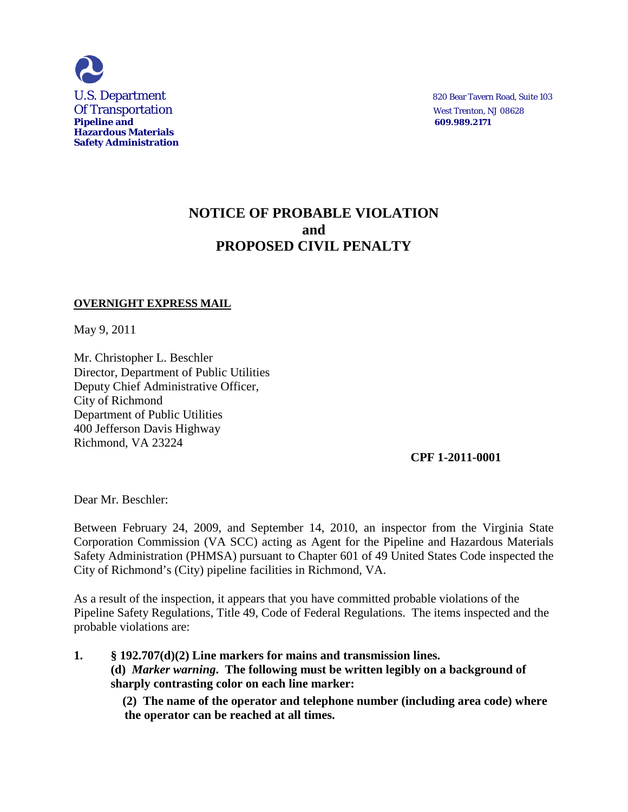

# **NOTICE OF PROBABLE VIOLATION and PROPOSED CIVIL PENALTY**

#### **OVERNIGHT EXPRESS MAIL**

May 9, 2011

Mr. Christopher L. Beschler Director, Department of Public Utilities Deputy Chief Administrative Officer, City of Richmond Department of Public Utilities 400 Jefferson Davis Highway Richmond, VA 23224

**CPF 1-2011-0001**

Dear Mr. Beschler:

Between February 24, 2009, and September 14, 2010, an inspector from the Virginia State Corporation Commission (VA SCC) acting as Agent for the Pipeline and Hazardous Materials Safety Administration (PHMSA) pursuant to Chapter 601 of 49 United States Code inspected the City of Richmond's (City) pipeline facilities in Richmond, VA.

As a result of the inspection, it appears that you have committed probable violations of the Pipeline Safety Regulations, Title 49, Code of Federal Regulations. The items inspected and the probable violations are:

**1. § 192.707(d)(2) Line markers for mains and transmission lines. (d)** *Marker warning***. The following must be written legibly on a background of sharply contrasting color on each line marker:**

> **(2) The name of the operator and telephone number (including area code) where the operator can be reached at all times.**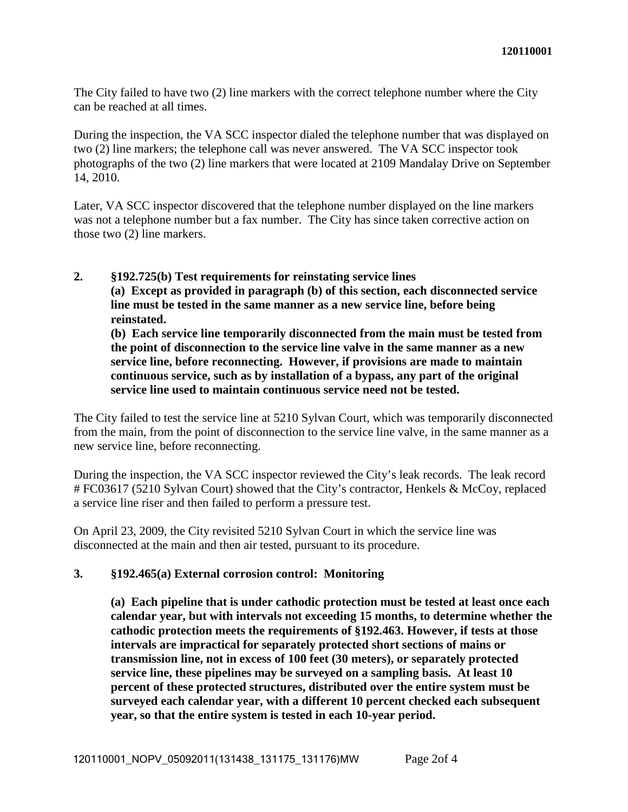The City failed to have two (2) line markers with the correct telephone number where the City can be reached at all times.

During the inspection, the VA SCC inspector dialed the telephone number that was displayed on two (2) line markers; the telephone call was never answered. The VA SCC inspector took photographs of the two (2) line markers that were located at 2109 Mandalay Drive on September 14, 2010.

Later, VA SCC inspector discovered that the telephone number displayed on the line markers was not a telephone number but a fax number. The City has since taken corrective action on those two (2) line markers.

#### **2. §192.725(b) Test requirements for reinstating service lines (a) Except as provided in paragraph (b) of this section, each disconnected service line must be tested in the same manner as a new service line, before being reinstated.**

**(b) Each service line temporarily disconnected from the main must be tested from the point of disconnection to the service line valve in the same manner as a new service line, before reconnecting. However, if provisions are made to maintain continuous service, such as by installation of a bypass, any part of the original service line used to maintain continuous service need not be tested.**

The City failed to test the service line at 5210 Sylvan Court, which was temporarily disconnected from the main, from the point of disconnection to the service line valve, in the same manner as a new service line, before reconnecting.

During the inspection, the VA SCC inspector reviewed the City's leak records. The leak record # FC03617 (5210 Sylvan Court) showed that the City's contractor, Henkels & McCoy, replaced a service line riser and then failed to perform a pressure test.

On April 23, 2009, the City revisited 5210 Sylvan Court in which the service line was disconnected at the main and then air tested, pursuant to its procedure.

# **3. §192.465(a) External corrosion control: Monitoring**

**(a) Each pipeline that is under cathodic protection must be tested at least once each calendar year, but with intervals not exceeding 15 months, to determine whether the cathodic protection meets the requirements of §192.463. However, if tests at those intervals are impractical for separately protected short sections of mains or transmission line, not in excess of 100 feet (30 meters), or separately protected service line, these pipelines may be surveyed on a sampling basis. At least 10 percent of these protected structures, distributed over the entire system must be surveyed each calendar year, with a different 10 percent checked each subsequent year, so that the entire system is tested in each 10-year period.**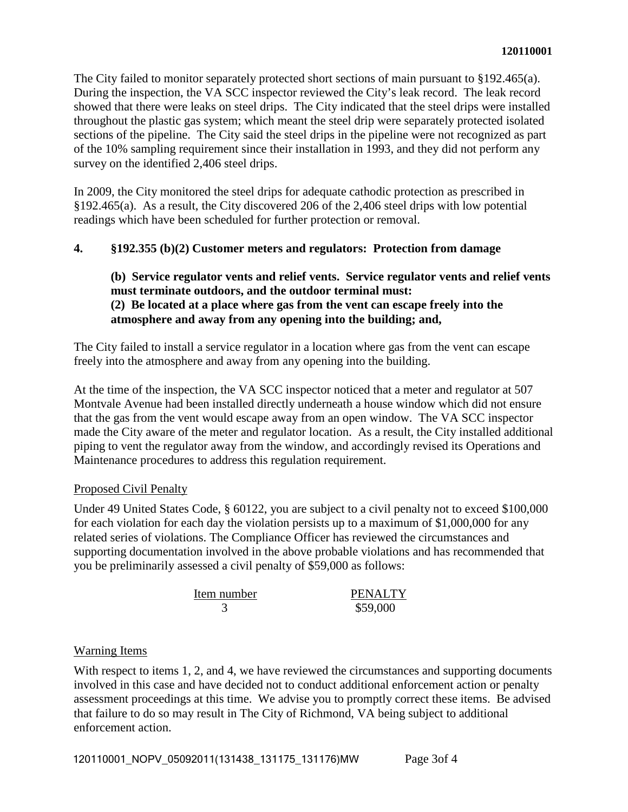The City failed to monitor separately protected short sections of main pursuant to §192.465(a). During the inspection, the VA SCC inspector reviewed the City's leak record. The leak record showed that there were leaks on steel drips. The City indicated that the steel drips were installed throughout the plastic gas system; which meant the steel drip were separately protected isolated sections of the pipeline. The City said the steel drips in the pipeline were not recognized as part of the 10% sampling requirement since their installation in 1993, and they did not perform any survey on the identified 2,406 steel drips.

In 2009, the City monitored the steel drips for adequate cathodic protection as prescribed in §192.465(a). As a result, the City discovered 206 of the 2,406 steel drips with low potential readings which have been scheduled for further protection or removal.

# **4. §192.355 (b)(2) Customer meters and regulators: Protection from damage**

# **(b) Service regulator vents and relief vents. Service regulator vents and relief vents must terminate outdoors, and the outdoor terminal must: (2) Be located at a place where gas from the vent can escape freely into the atmosphere and away from any opening into the building; and,**

The City failed to install a service regulator in a location where gas from the vent can escape freely into the atmosphere and away from any opening into the building.

At the time of the inspection, the VA SCC inspector noticed that a meter and regulator at 507 Montvale Avenue had been installed directly underneath a house window which did not ensure that the gas from the vent would escape away from an open window. The VA SCC inspector made the City aware of the meter and regulator location. As a result, the City installed additional piping to vent the regulator away from the window, and accordingly revised its Operations and Maintenance procedures to address this regulation requirement.

# Proposed Civil Penalty

Under 49 United States Code, § 60122, you are subject to a civil penalty not to exceed \$100,000 for each violation for each day the violation persists up to a maximum of \$1,000,000 for any related series of violations. The Compliance Officer has reviewed the circumstances and supporting documentation involved in the above probable violations and has recommended that you be preliminarily assessed a civil penalty of \$59,000 as follows:

| Item number | <b>PENALTY</b> |
|-------------|----------------|
|             | \$59,000       |

# Warning Items

With respect to items 1, 2, and 4, we have reviewed the circumstances and supporting documents involved in this case and have decided not to conduct additional enforcement action or penalty assessment proceedings at this time. We advise you to promptly correct these items. Be advised that failure to do so may result in The City of Richmond, VA being subject to additional enforcement action.